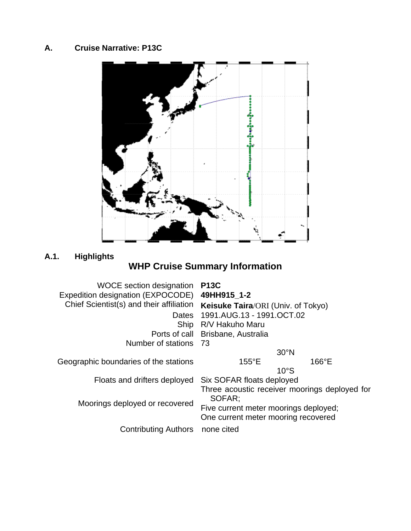### <span id="page-0-0"></span>**A. Cruise Narrative: P13C**



# **A.1. Highlights**

# **WHP Cruise Summary Information**

| WOCE section designation                 | <b>P13C</b>                                                                                                                             |                |
|------------------------------------------|-----------------------------------------------------------------------------------------------------------------------------------------|----------------|
| Expedition designation (EXPOCODE)        | 49HH915 1-2                                                                                                                             |                |
| Chief Scientist(s) and their affiliation | <b>Keisuke Taira/ORI (Univ. of Tokyo)</b>                                                                                               |                |
|                                          | Dates 1991.AUG.13 - 1991.OCT.02                                                                                                         |                |
|                                          | Ship R/V Hakuho Maru                                                                                                                    |                |
|                                          | Ports of call Brisbane, Australia                                                                                                       |                |
| Number of stations 73                    |                                                                                                                                         |                |
|                                          | 30°N                                                                                                                                    |                |
| Geographic boundaries of the stations    | $155^{\circ}E$                                                                                                                          | $166^{\circ}E$ |
|                                          | 10°S                                                                                                                                    |                |
| Floats and drifters deployed             | Six SOFAR floats deployed                                                                                                               |                |
| Moorings deployed or recovered           | Three acoustic receiver moorings deployed for<br>SOFAR:<br>Five current meter moorings deployed;<br>One current meter mooring recovered |                |
| <b>Contributing Authors</b>              | none cited                                                                                                                              |                |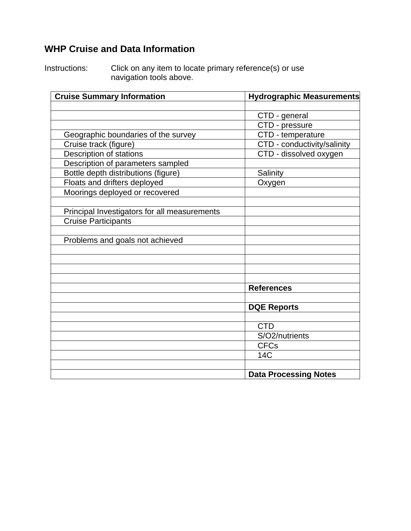# **WHP Cruise and Data Information**

Instructions: Click on any item to locate primary reference(s) or use navigation tools above.

| <b>Cruise Summary Information</b>            | <b>Hydrographic Measurements</b> |
|----------------------------------------------|----------------------------------|
|                                              |                                  |
|                                              | CTD - general                    |
|                                              | CTD - pressure                   |
| Geographic boundaries of the survey          | CTD - temperature                |
| Cruise track (figure)                        | CTD - conductivity/salinity      |
| <b>Description of stations</b>               | CTD - dissolved oxygen           |
| Description of parameters sampled            |                                  |
| Bottle depth distributions (figure)          | Salinity                         |
| Floats and drifters deployed                 | Oxygen                           |
| Moorings deployed or recovered               |                                  |
|                                              |                                  |
| Principal Investigators for all measurements |                                  |
| <b>Cruise Participants</b>                   |                                  |
|                                              |                                  |
| Problems and goals not achieved              |                                  |
|                                              |                                  |
|                                              |                                  |
|                                              |                                  |
|                                              |                                  |
|                                              | <b>References</b>                |
|                                              |                                  |
|                                              | <b>DQE Reports</b>               |
|                                              |                                  |
|                                              | <b>CTD</b>                       |
|                                              | S/O2/nutrients                   |
|                                              | <b>CFCs</b>                      |
|                                              | <b>14C</b>                       |
|                                              |                                  |
|                                              | <b>Data Processing Notes</b>     |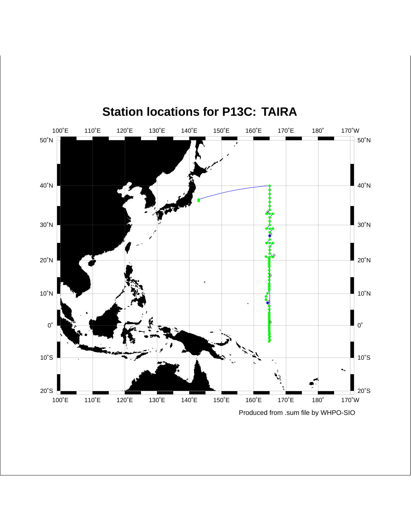<span id="page-2-0"></span>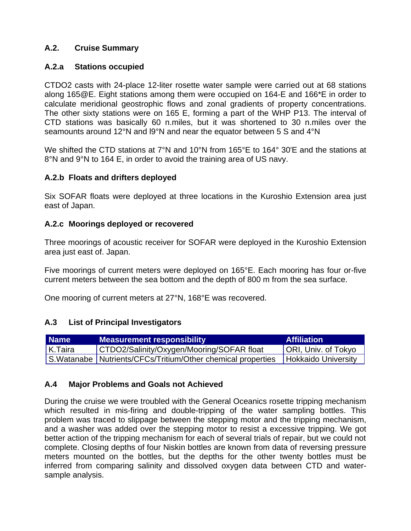#### <span id="page-3-0"></span>**A.2. Cruise Summary**

#### **A.2.a Stations occupied**

CTDO2 casts with 24-place 12-liter rosette water sample were carried out at 68 stations along 165@E. Eight stations among them were occupied on 164-E and 166\*E in order to calculate meridional geostrophic flows and zonal gradients of property concentrations. The other sixty stations were on 165 E, forming a part of the WHP P13. The interval of CTD stations was basically 60 n.miles, but it was shortened to 30 n.miles over the seamounts around 12°N and l9°N and near the equator between 5 S and 4°N

We shifted the CTD stations at 7°N and 10°N from 165°E to 164° 30'E and the stations at 8°N and 9°N to 164 E, in order to avoid the training area of US navy.

#### **A.2.b Floats and drifters deployed**

Six SOFAR floats were deployed at three locations in the Kuroshio Extension area just east of Japan.

#### **A.2.c Moorings deployed or recovered**

Three moorings of acoustic receiver for SOFAR were deployed in the Kuroshio Extension area just east of. Japan.

Five moorings of current meters were deployed on 165°E. Each mooring has four or-five current meters between the sea bottom and the depth of 800 m from the sea surface.

One mooring of current meters at 27°N, 168°E was recovered.

#### **A.3 List of Principal Investigators**

| <b>Name</b> | <b>Measurement responsibility</b>                              | <b>Affiliation</b>         |
|-------------|----------------------------------------------------------------|----------------------------|
| $K$ .Taira  | CTDO2/Salinity/Oxygen/Mooring/SOFAR float                      | ORI, Univ. of Tokyo        |
|             | S. Watanabe   Nutrients/CFCs/Tritium/Other chemical properties | <b>Hokkaido University</b> |

#### **A.4 Major Problems and Goals not Achieved**

During the cruise we were troubled with the General Oceanics rosette tripping mechanism which resulted in mis-firing and double-tripping of the water sampling bottles. This problem was traced to slippage between the stepping motor and the tripping mechanism, and a washer was added over the stepping motor to resist a excessive tripping. We got better action of the tripping mechanism for each of several trials of repair, but we could not complete. Closing depths of four Niskin bottles are known from data of reversing pressure meters mounted on the bottles, but the depths for the other twenty bottles must be inferred from comparing salinity and dissolved oxygen data between CTD and watersample analysis.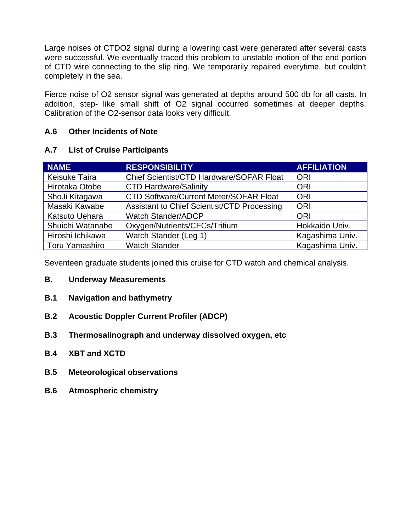<span id="page-4-0"></span>Large noises of CTDO2 signal during a lowering cast were generated after several casts were successful. We eventually traced this problem to unstable motion of the end portion of CTD wire connecting to the slip ring. We temporarily repaired everytime, but couldn't completely in the sea.

Fierce noise of O2 sensor signal was generated at depths around 500 db for all casts. In addition, step- like small shift of O2 signal occurred sometimes at deeper depths. Calibration of the O2-sensor data looks very difficult.

#### **A.6 Other Incidents of Note**

#### **A.7 List of Cruise Participants**

| <b>NAME</b>          | <b>RESPONSIBILITY</b>                         | <b>AFFILIATION</b> |
|----------------------|-----------------------------------------------|--------------------|
| <b>Keisuke Taira</b> | Chief Scientist/CTD Hardware/SOFAR Float      | <b>ORI</b>         |
| Hirotaka Otobe       | <b>CTD Hardware/Salinity</b>                  | <b>ORI</b>         |
| ShoJi Kitagawa       | <b>CTD Software/Current Meter/SOFAR Float</b> | <b>ORI</b>         |
| Masaki Kawabe        | Assistant to Chief Scientist/CTD Processing   | <b>ORI</b>         |
| Katsuto Uehara       | <b>Watch Stander/ADCP</b>                     | <b>ORI</b>         |
| Shuichi Watanabe     | Oxygen/Nutrients/CFCs/Tritium                 | Hokkaido Univ.     |
| Hiroshi Ichikawa     | Watch Stander (Leg 1)                         | Kagashima Univ.    |
| Toru Yamashiro       | <b>Watch Stander</b>                          | Kagashima Univ.    |

Seventeen graduate students joined this cruise for CTD watch and chemical analysis.

- **B. Underway Measurements**
- **B.1 Navigation and bathymetry**
- **B.2 Acoustic Doppler Current Profiler (ADCP)**
- **B.3 Thermosalinograph and underway dissolved oxygen, etc**
- **B.4 XBT and XCTD**
- **B.5 Meteorological observations**
- **B.6 Atmospheric chemistry**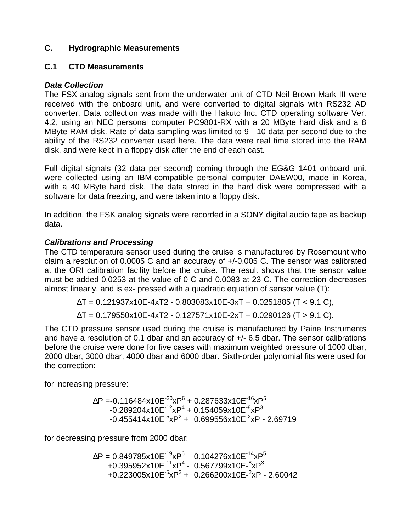#### <span id="page-5-0"></span>**C. Hydrographic Measurements**

#### **C.1 CTD Measurements**

#### *Data Collection*

The FSX analog signals sent from the underwater unit of CTD Neil Brown Mark III were received with the onboard unit, and were converted to digital signals with RS232 AD converter. Data collection was made with the Hakuto Inc. CTD operating software Ver. 4.2, using an NEC personal computer PC9801-RX with a 20 MByte hard disk and a 8 MByte RAM disk. Rate of data sampling was limited to 9 - 10 data per second due to the ability of the RS232 converter used here. The data were real time stored into the RAM disk, and were kept in a floppy disk after the end of each cast.

Full digital signals (32 data per second) coming through the EG&G 1401 onboard unit were collected using an IBM-compatible personal computer DAEW00, made in Korea, with a 40 MByte hard disk. The data stored in the hard disk were compressed with a software for data freezing, and were taken into a floppy disk.

In addition, the FSK analog signals were recorded in a SONY digital audio tape as backup data.

#### *Calibrations and Processing*

The CTD temperature sensor used during the cruise is manufactured by Rosemount who claim a resolution of 0.0005 C and an accuracy of +/-0.005 C. The sensor was calibrated at the ORI calibration facility before the cruise. The result shows that the sensor value must be added 0.0253 at the value of 0 C and 0.0083 at 23 C. The correction decreases almost linearly, and is ex- pressed with a quadratic equation of sensor value (T):

 $T = 0.121937x10E-4xT2 - 0.803083x10E-3xT + 0.0251885 (T < 9.1 C),$ 

 $T = 0.179550x10E-4xT2 - 0.127571x10E-2xT + 0.0290126 (T > 9.1 C).$ 

The CTD pressure sensor used during the cruise is manufactured by Paine Instruments and have a resolution of 0.1 dbar and an accuracy of +/- 6.5 dbar. The sensor calibrations before the cruise were done for five cases with maximum weighted pressure of 1000 dbar, 2000 dbar, 3000 dbar, 4000 dbar and 6000 dbar. Sixth-order polynomial fits were used for the correction:

for increasing pressure:

 $P = -0.116484x10E^{-20}xP^6 + 0.287633x10E^{-16}xP^5$  $-0.289204$ x10 $E^{-12}$ x $P^4$  + 0.154059x10 $E^{-8}$ x $P^3$  $-0.455414x10E^{-5}xP^2 + 0.699556x10E^{-2}xP - 2.69719$ 

for decreasing pressure from 2000 dbar:

 $P = 0.849785 \times 10E^{-19} \times P^6$  - 0.104276x10 $E^{-14} \times P^5$  $+0.395952$ x10E<sup>-11</sup>xP<sup>4</sup> - 0.567799x10E- ${}^{8}$ xP ${}^{3}$ +0.223005x10E<sup>-5</sup>xP<sup>2</sup> + 0.266200x10E-<sup>2</sup>xP - 2.60042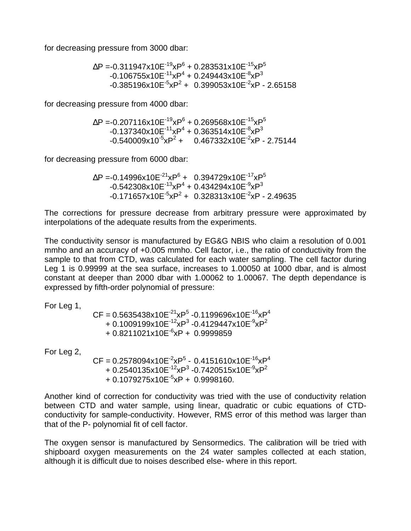<span id="page-6-0"></span>for decreasing pressure from 3000 dbar:

 $P = -0.311947x10E^{-19}xP^6 + 0.283531x10E^{-15}xP^5$  $-0.106755$ x10E $^{-11}$ xP $^4$  + 0.249443x10E $^{-8}$ xP $^3$  $-0.385196x10E^{-5}xP^2 + 0.399053x10E^{-2}xP - 2.65158$ 

for decreasing pressure from 4000 dbar:

 $P = -0.207116x10E^{-19}xP^6 + 0.269568x10E^{-15}xP^5$  $-0.137340$ x10E $^{-11}$ xP $^4$  + 0.363514x10E $^{-8}$ xP $^3$  $-0.540009x10^{-5}xP^2 + 0.467332x10E^{-2}xP - 2.75144$ 

for decreasing pressure from 6000 dbar:

 $P = -0.14996 \times 10E^{-21} \times P^6 + 0.394729 \times 10E^{-17} \times P^5$  $-0.542308$ x10E $^{-13}$ xP $^{4}$  + 0.434294x10E $^{-9}$ xP $^{3}$ -0.171657x10E<sup>-5</sup>xP<sup>2</sup> + 0.328313x10E<sup>-2</sup>xP - 2.49635

The corrections for pressure decrease from arbitrary pressure were approximated by interpolations of the adequate results from the experiments.

The conductivity sensor is manufactured by EG&G NBIS who claim a resolution of 0.001 mmho and an accuracy of +0.005 mmho. Cell factor, i.e., the ratio of conductivity from the sample to that from CTD, was calculated for each water sampling. The cell factor during Leg 1 is 0.99999 at the sea surface, increases to 1.00050 at 1000 dbar, and is almost constant at deeper than 2000 dbar with 1.00062 to 1.00067. The depth dependance is expressed by fifth-order polynomial of pressure:

For Leg 1,

 $\mathsf{CF} = 0.5635438$ x10 $\mathsf{E}^{\text{-21}}$ x $\mathsf{P}^5$  -0.1199696x10 $\mathsf{E}^{\text{-16}}$ x $\mathsf{P}^4$ + 0.1009199x10E<sup>-12</sup>xP<sup>3</sup> -0.4129447x10E<sup>-9</sup>xP<sup>2</sup>  $+ 0.8211021x10E^{-6}xP + 0.9999859$ 

For Leg 2,

 $CF = 0.2578094 \times 10E^{-2} \times P^{5} - 0.4151610 \times 10E^{-16} \times P^{4}$ + 0.2540135x10E<sup>-12</sup>xP<sup>3</sup> -0.7420515x10E<sup>-9</sup>xP<sup>2</sup>  $+0.1079275x10E^{-5}xP + 0.9998160.$ 

Another kind of correction for conductivity was tried with the use of conductivity relation between CTD and water sample, using linear, quadratic or cubic equations of CTDconductivity for sample-conductivity. However, RMS error of this method was larger than that of the P- polynomial fit of cell factor.

The oxygen sensor is manufactured by Sensormedics. The calibration will be tried with shipboard oxygen measurements on the 24 water samples collected at each station, although it is difficult due to noises described else- where in this report.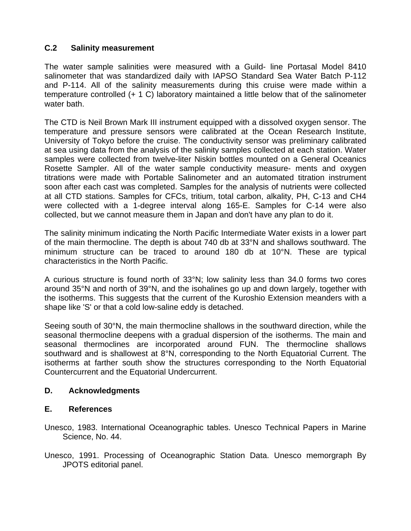#### <span id="page-7-0"></span>**C.2 Salinity measurement**

The water sample salinities were measured with a Guild- line Portasal Model 8410 salinometer that was standardized daily with IAPSO Standard Sea Water Batch P-112 and P-114. All of the salinity measurements during this cruise were made within a temperature controlled (+ 1 C) laboratory maintained a little below that of the salinometer water bath.

The CTD is Neil Brown Mark III instrument equipped with a dissolved oxygen sensor. The temperature and pressure sensors were calibrated at the Ocean Research Institute, University of Tokyo before the cruise. The conductivity sensor was preliminary calibrated at sea using data from the analysis of the salinity samples collected at each station. Water samples were collected from twelve-liter Niskin bottles mounted on a General Oceanics Rosette Sampler. All of the water sample conductivity measure- ments and oxygen titrations were made with Portable Salinometer and an automated titration instrument soon after each cast was completed. Samples for the analysis of nutrients were collected at all CTD stations. Samples for CFCs, tritium, total carbon, alkality, PH, C-13 and CH4 were collected with a 1-degree interval along 165-E. Samples for C-14 were also collected, but we cannot measure them in Japan and don't have any plan to do it.

The salinity minimum indicating the North Pacific Intermediate Water exists in a lower part of the main thermocline. The depth is about 740 db at 33°N and shallows southward. The minimum structure can be traced to around 180 db at 10°N. These are typical characteristics in the North Pacific.

A curious structure is found north of 33°N; low salinity less than 34.0 forms two cores around 35°N and north of 39°N, and the isohalines go up and down largely, together with the isotherms. This suggests that the current of the Kuroshio Extension meanders with a shape like 'S' or that a cold low-saline eddy is detached.

Seeing south of 30°N, the main thermocline shallows in the southward direction, while the seasonal thermocline deepens with a gradual dispersion of the isotherms. The main and seasonal thermoclines are incorporated around FUN. The thermocline shallows southward and is shallowest at 8°N, corresponding to the North Equatorial Current. The isotherms at farther south show the structures corresponding to the North Equatorial Countercurrent and the Equatorial Undercurrent.

#### **D. Acknowledgments**

#### **E. References**

- Unesco, 1983. International Oceanographic tables. Unesco Technical Papers in Marine Science, No. 44.
- Unesco, 1991. Processing of Oceanographic Station Data. Unesco memorgraph By JPOTS editorial panel.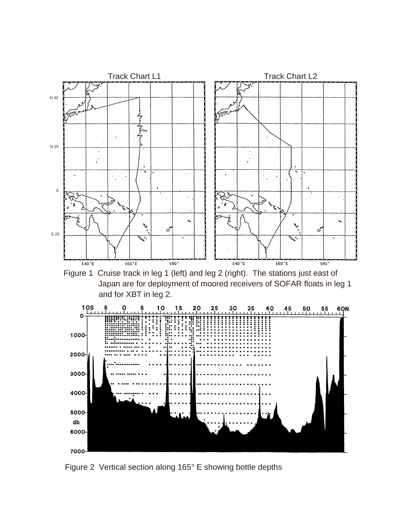

Figure 1 Cruise track in leg 1 (left) and leg 2 (right). The stations just east of Japan are for deployment of moored receivers of SOFAR floats in leg 1 and for XBT in leg 2.



Figure 2 Vertical section along 165° E showing bottle depths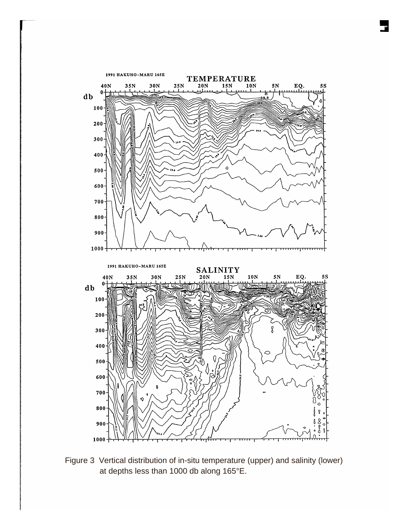

Figure 3 Vertical distribution of in-situ temperature (upper) and salinity (lower) at depths less than 1000 db along 165°E.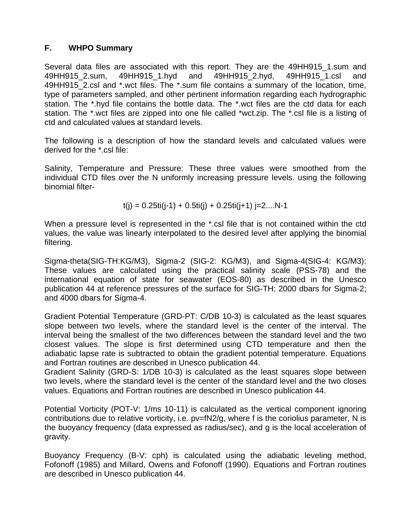#### **F. WHPO Summary**

Several data files are associated with this report. They are the 49HH915 1.sum and 49HH915\_2.sum, 49HH915\_1.hyd and 49HH915\_2.hyd, 49HH915\_1.csl and 49HH915\_2.csl and \*.wct files. The \*.sum file contains a summary of the location, time, type of parameters sampled, and other pertinent information regarding each hydrographic station. The \*.hyd file contains the bottle data. The \*.wct files are the ctd data for each station. The \*.wct files are zipped into one file called \*wct.zip. The \*.csl file is a listing of ctd and calculated values at standard levels.

The following is a description of how the standard levels and calculated values were derived for the \*.csl file:

Salinity, Temperature and Pressure: These three values were smoothed from the individual CTD files over the N uniformly increasing pressure levels. using the following binomial filter-

 $t(j) = 0.25t$  $i(j-1) + 0.5t$  $i(j) + 0.25t$  $i(j+1)$  $j=2...N-1$ 

When a pressure level is represented in the \*.csl file that is not contained within the ctd values, the value was linearly interpolated to the desired level after applying the binomial filtering.

Sigma-theta(SIG-TH:KG/M3), Sigma-2 (SIG-2: KG/M3), and Sigma-4(SIG-4: KG/M3): These values are calculated using the practical salinity scale (PSS-78) and the international equation of state for seawater (EOS-80) as described in the Unesco publication 44 at reference pressures of the surface for SIG-TH; 2000 dbars for Sigma-2; and 4000 dbars for Sigma-4.

Gradient Potential Temperature (GRD-PT: C/DB 10-3) is calculated as the least squares slope between two levels, where the standard level is the center of the interval. The interval being the smallest of the two differences between the standard level and the two closest values. The slope is first determined using CTD temperature and then the adiabatic lapse rate is subtracted to obtain the gradient potential temperature. Equations and Fortran routines are described in Unesco publication 44.

Gradient Salinity (GRD-S: 1/DB 10-3) is calculated as the least squares slope between two levels, where the standard level is the center of the standard level and the two closes values. Equations and Fortran routines are described in Unesco publication 44.

Potential Vorticity (POT-V: 1/ms 10-11) is calculated as the vertical component ignoring contributions due to relative vorticity, i.e. pv=fN2/g, where f is the coriolius parameter, N is the buoyancy frequency (data expressed as radius/sec), and g is the local acceleration of gravity.

Buoyancy Frequency (B-V: cph) is calculated using the adiabatic leveling method, Fofonoff (1985) and Millard, Owens and Fofonoff (1990). Equations and Fortran routines are described in Unesco publication 44.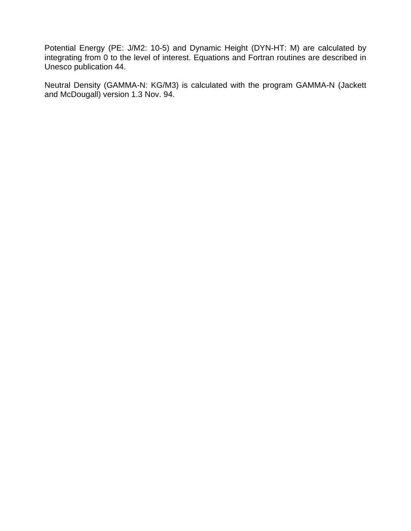Potential Energy (PE: J/M2: 10-5) and Dynamic Height (DYN-HT: M) are calculated by integrating from 0 to the level of interest. Equations and Fortran routines are described in Unesco publication 44.

Neutral Density (GAMMA-N: KG/M3) is calculated with the program GAMMA-N (Jackett and McDougall) version 1.3 Nov. 94.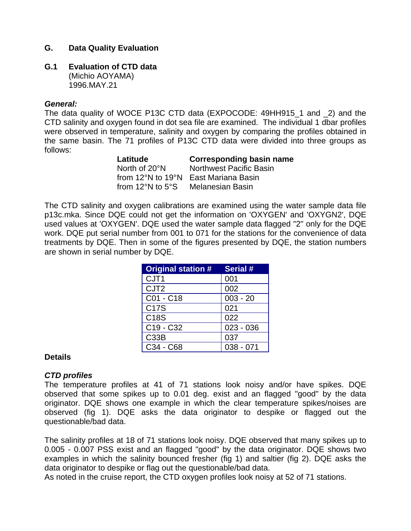#### <span id="page-12-0"></span>**G. Data Quality Evaluation**

#### **G.1 Evaluation of CTD data**

(Michio AOYAMA) 1996.MAY.21

#### *General:*

The data quality of WOCE P13C CTD data (EXPOCODE: 49HH915\_1 and \_2) and the CTD salinity and oxygen found in dot sea file are examined. The individual 1 dbar profiles were observed in temperature, salinity and oxygen by comparing the profiles obtained in the same basin. The 71 profiles of P13C CTD data were divided into three groups as follows:

| Latitude                              | <b>Corresponding basin name</b> |
|---------------------------------------|---------------------------------|
| North of 20°N                         | <b>Northwest Pacific Basin</b>  |
| from $12^{\circ}$ N to $19^{\circ}$ N | East Mariana Basin              |
| from 12 $\degree$ N to 5 $\degree$ S  | Melanesian Basin                |

The CTD salinity and oxygen calibrations are examined using the water sample data file p13c.mka. Since DQE could not get the information on 'OXYGEN' and 'OXYGN2', DQE used values at 'OXYGEN'. DQE used the water sample data flagged "2" only for the DQE work. DQE put serial number from 001 to 071 for the stations for the convenience of data treatments by DQE. Then in some of the figures presented by DQE, the station numbers are shown in serial number by DQE.

| <b>Original station #</b>         | Serial #    |
|-----------------------------------|-------------|
| CJT <sub>1</sub>                  | 001         |
| CJT <sub>2</sub>                  | 002         |
| C01 - C18                         | $003 - 20$  |
| <b>C17S</b>                       | 021         |
| C18S                              | 022         |
| C <sub>19</sub> - C <sub>32</sub> | $023 - 036$ |
| C33B                              | 037         |
| C34 - C68                         | $038 - 071$ |

#### **Details**

#### *CTD profiles*

The temperature profiles at 41 of 71 stations look noisy and/or have spikes. DQE observed that some spikes up to 0.01 deg. exist and an flagged "good" by the data originator. DQE shows one example in which the clear temperature spikes/noises are observed (fig 1). DQE asks the data originator to despike or flagged out the questionable/bad data.

The salinity profiles at 18 of 71 stations look noisy. DQE observed that many spikes up to 0.005 - 0.007 PSS exist and an flagged "good" by the data originator. DQE shows two examples in which the salinity bounced fresher (fig 1) and saltier (fig 2). DQE asks the data originator to despike or flag out the questionable/bad data.

As noted in the cruise report, the CTD oxygen profiles look noisy at 52 of 71 stations.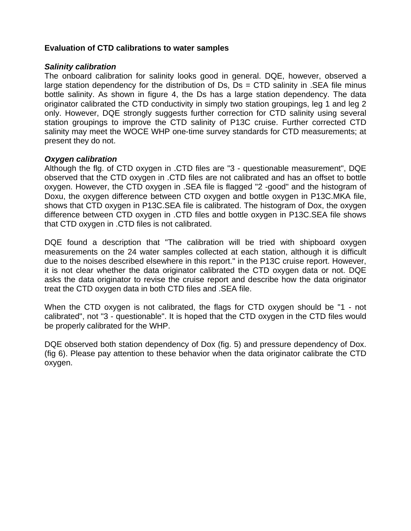#### **Evaluation of CTD calibrations to water samples**

#### *Salinity calibration*

The onboard calibration for salinity looks good in general. DQE, however, observed a large station dependency for the distribution of  $Ds$ ,  $Ds = CTD$  salinity in . SEA file minus bottle salinity. As shown in figure 4, the Ds has a large station dependency. The data originator calibrated the CTD conductivity in simply two station groupings, leg 1 and leg 2 only. However, DQE strongly suggests further correction for CTD salinity using several station groupings to improve the CTD salinity of P13C cruise. Further corrected CTD salinity may meet the WOCE WHP one-time survey standards for CTD measurements; at present they do not.

#### *Oxygen calibration*

Although the flg. of CTD oxygen in .CTD files are "3 - questionable measurement", DQE observed that the CTD oxygen in .CTD files are not calibrated and has an offset to bottle oxygen. However, the CTD oxygen in .SEA file is flagged "2 -good" and the histogram of Doxu, the oxygen difference between CTD oxygen and bottle oxygen in P13C.MKA file, shows that CTD oxygen in P13C.SEA file is calibrated. The histogram of Dox, the oxygen difference between CTD oxygen in .CTD files and bottle oxygen in P13C.SEA file shows that CTD oxygen in .CTD files is not calibrated.

DQE found a description that "The calibration will be tried with shipboard oxygen measurements on the 24 water samples collected at each station, although it is difficult due to the noises described elsewhere in this report." in the P13C cruise report. However, it is not clear whether the data originator calibrated the CTD oxygen data or not. DQE asks the data originator to revise the cruise report and describe how the data originator treat the CTD oxygen data in both CTD files and .SEA file.

When the CTD oxygen is not calibrated, the flags for CTD oxygen should be "1 - not calibrated", not "3 - questionable". It is hoped that the CTD oxygen in the CTD files would be properly calibrated for the WHP.

DQE observed both station dependency of Dox (fig. 5) and pressure dependency of Dox. (fig 6). Please pay attention to these behavior when the data originator calibrate the CTD oxygen.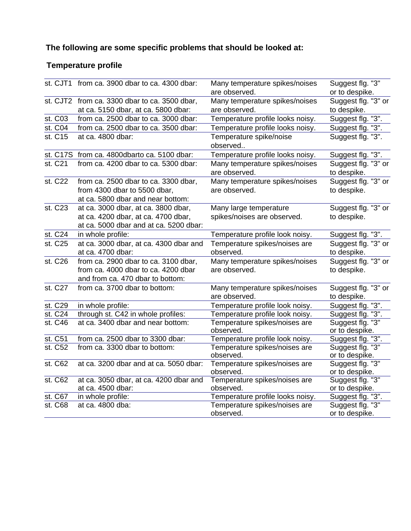# **The following are some specific problems that should be looked at:**

# **Temperature profile**

|                      | st. CJT1 from ca. 3900 dbar to ca. 4300 dbar: | Many temperature spikes/noises                  | Suggest flg. "3"                   |
|----------------------|-----------------------------------------------|-------------------------------------------------|------------------------------------|
|                      |                                               | are observed.                                   | or to despike.                     |
|                      | st. CJT2 from ca. 3300 dbar to ca. 3500 dbar, | Many temperature spikes/noises                  | Suggest flg. "3" or                |
|                      | at ca. 5150 dbar, at ca. 5800 dbar:           | are observed.                                   | to despike.                        |
| st. C03              | from ca. 2500 dbar to ca. 3000 dbar:          | Temperature profile looks noisy.                | Suggest flg. "3".                  |
| st. C04              | from ca. 2500 dbar to ca. 3500 dbar:          | Temperature profile looks noisy.                | Suggest flg. "3".                  |
| st. C15              | at ca. 4800 dbar:                             | Temperature spike/noise<br>observed             | Suggest flg. "3".                  |
|                      | st. C17S from ca. 4800dbarto ca. 5100 dbar:   | Temperature profile looks noisy.                | Suggest flg. "3".                  |
| st. C21              | from ca. 4200 dbar to ca. 5300 dbar:          | Many temperature spikes/noises<br>are observed. | Suggest flg. "3" or<br>to despike. |
| st. C22              | from ca. 2500 dbar to ca. 3300 dbar,          | Many temperature spikes/noises                  | Suggest flg. "3" or                |
|                      | from 4300 dbar to 5500 dbar,                  | are observed.                                   | to despike.                        |
|                      | at ca. 5800 dbar and near bottom:             |                                                 |                                    |
| st. C23              | at ca. 3000 dbar, at ca. 3800 dbar,           | Many large temperature                          | Suggest flg. "3" or                |
|                      | at ca. 4200 dbar, at ca. 4700 dbar,           | spikes/noises are observed.                     | to despike.                        |
|                      | at ca. 5000 dbar and at ca. 5200 dbar:        |                                                 |                                    |
| st. C24              | in whole profile:                             | Temperature profile look noisy.                 | Suggest flg. "3".                  |
| st. C25              | at ca. 3000 dbar, at ca. 4300 dbar and        | Temperature spikes/noises are                   | Suggest flg. "3" or                |
|                      | at ca. 4700 dbar:                             | observed.                                       | to despike.                        |
| st. C26              | from ca. 2900 dbar to ca. 3100 dbar,          | Many temperature spikes/noises                  | Suggest flg. "3" or                |
|                      | from ca. 4000 dbar to ca. 4200 dbar           | are observed.                                   | to despike.                        |
|                      | and from ca. 470 dbar to bottom:              |                                                 |                                    |
| st. C27              | from ca. 3700 dbar to bottom:                 | Many temperature spikes/noises                  | Suggest flg. "3" or                |
|                      |                                               | are observed.                                   | to despike.                        |
| st. C29              | in whole profile:                             | Temperature profile look noisy.                 | Suggest flg. "3".                  |
| st. C24              | through st. C42 in whole profiles:            | Temperature profile look noisy.                 | Suggest flg. "3".                  |
| st. C46              | at ca. 3400 dbar and near bottom:             | Temperature spikes/noises are<br>observed.      | Suggest flg. "3"<br>or to despike. |
| st. $C5\overline{1}$ | from ca. 2500 dbar to 3300 dbar:              | Temperature profile look noisy.                 | Suggest flg. "3".                  |
| st. C52              | from ca. 3300 dbar to bottom:                 | Temperature spikes/noises are<br>observed.      | Suggest flg. "3"<br>or to despike. |
| st. C62              | at ca. 3200 dbar and at ca. 5050 dbar:        | Temperature spikes/noises are<br>observed.      | Suggest flg. "3"<br>or to despike. |
| st. C62              | at ca. 3050 dbar, at ca. 4200 dbar and        | Temperature spikes/noises are                   | Suggest flg. "3"                   |
|                      | at ca. 4500 dbar:                             | observed.                                       | or to despike.                     |
| st. C67              | in whole profile:                             | Temperature profile looks noisy.                | Suggest flg. "3".                  |
| st. C68              | at ca. 4800 dba:                              | Temperature spikes/noises are<br>observed.      | Suggest flg. "3"<br>or to despike. |
|                      |                                               |                                                 |                                    |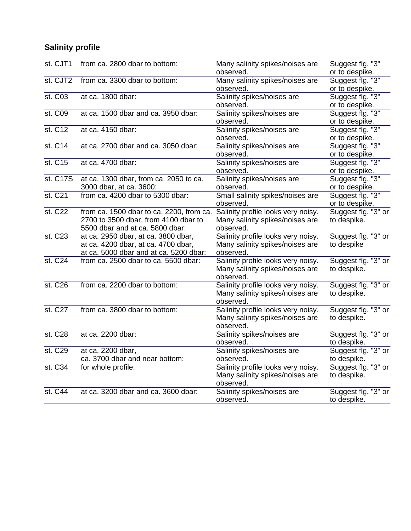# **Salinity profile**

| st. CJT1                    | from ca. 2800 dbar to bottom:                                                                                        | Many salinity spikes/noises are<br>observed.                                       | Suggest flg. "3"<br>or to despike. |
|-----------------------------|----------------------------------------------------------------------------------------------------------------------|------------------------------------------------------------------------------------|------------------------------------|
| st. CJT2                    | from ca. 3300 dbar to bottom:                                                                                        | Many salinity spikes/noises are<br>observed.                                       | Suggest flg. "3"<br>or to despike. |
| st. C03                     | at ca. 1800 dbar:                                                                                                    | Salinity spikes/noises are<br>observed.                                            | Suggest flg. "3"<br>or to despike. |
| st. C09                     | at ca. 1500 dbar and ca. 3950 dbar:                                                                                  | Salinity spikes/noises are<br>observed.                                            | Suggest flg. "3"<br>or to despike. |
| $\overline{\text{st. C12}}$ | at ca. 4150 dbar:                                                                                                    | Salinity spikes/noises are<br>observed.                                            | Suggest flg. "3"<br>or to despike. |
| st. C14                     | at ca. 2700 dbar and ca. 3050 dbar:                                                                                  | Salinity spikes/noises are<br>observed.                                            | Suggest flg. "3"<br>or to despike. |
| st. C15                     | at ca. 4700 dbar:                                                                                                    | Salinity spikes/noises are<br>observed.                                            | Suggest flg. "3"<br>or to despike. |
| st. C17S                    | at ca. 1300 dbar, from ca. 2050 to ca.<br>3000 dbar, at ca. 3600:                                                    | Salinity spikes/noises are<br>observed.                                            | Suggest flg. "3"<br>or to despike. |
| st. C21                     | from ca. 4200 dbar to 5300 dbar:                                                                                     | Small salinity spikes/noises are<br>observed.                                      | Suggest flg. "3"<br>or to despike. |
| st. C22                     | from ca. 1500 dbar to ca. 2200, from ca.<br>2700 to 3500 dbar, from 4100 dbar to<br>5500 dbar and at ca. 5800 dbar:  | Salinity profile looks very noisy.<br>Many salinity spikes/noises are<br>observed. | Suggest flg. "3" or<br>to despike. |
| st. C23                     | at ca. 2950 dbar, at ca. 3800 dbar,<br>at ca. 4200 dbar, at ca. 4700 dbar,<br>at ca. 5000 dbar and at ca. 5200 dbar: | Salinity profile looks very noisy.<br>Many salinity spikes/noises are<br>observed. | Suggest flg. "3" or<br>to despike  |
| st. C24                     | from ca. 2500 dbar to ca. 5500 dbar:                                                                                 | Salinity profile looks very noisy.<br>Many salinity spikes/noises are<br>observed. | Suggest flg. "3" or<br>to despike. |
| st. C26                     | from ca. 2200 dbar to bottom:                                                                                        | Salinity profile looks very noisy.<br>Many salinity spikes/noises are<br>observed. | Suggest flg. "3" or<br>to despike. |
| st. C27                     | from ca. 3800 dbar to bottom:                                                                                        | Salinity profile looks very noisy.<br>Many salinity spikes/noises are<br>observed. | Suggest flg. "3" or<br>to despike. |
| st. C28                     | at ca. 2200 dbar:                                                                                                    | Salinity spikes/noises are<br>observed.                                            | Suggest flg. "3" or<br>to despike. |
| st. C29                     | at ca. 2200 dbar,<br>ca. 3700 dbar and near bottom:                                                                  | Salinity spikes/noises are<br>observed.                                            | Suggest flg. "3" or<br>to despike. |
| st. C34                     | for whole profile:                                                                                                   | Salinity profile looks very noisy.<br>Many salinity spikes/noises are<br>observed. | Suggest flg. "3" or<br>to despike. |
| st. C44                     | at ca. 3200 dbar and ca. 3600 dbar:                                                                                  | Salinity spikes/noises are<br>observed.                                            | Suggest flg. "3" or<br>to despike. |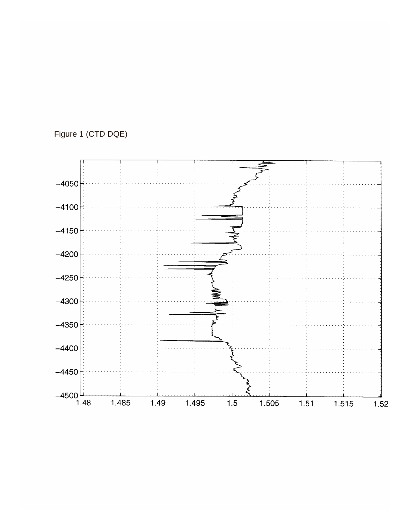# Figure 1 (CTD DQE)

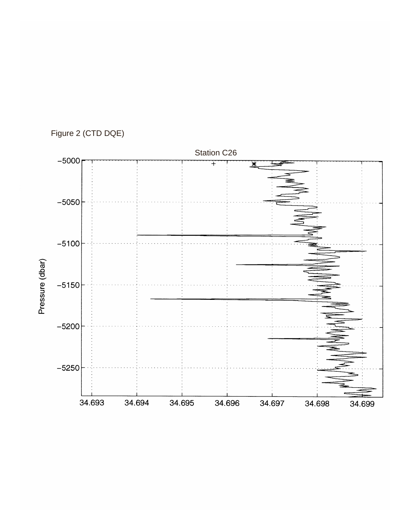# Figure 2 (CTD DQE)

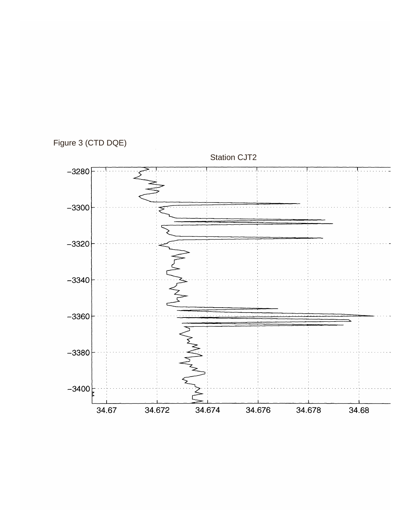Figure 3 (CTD DQE)

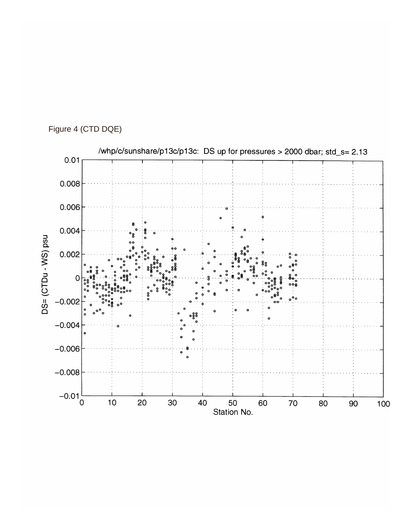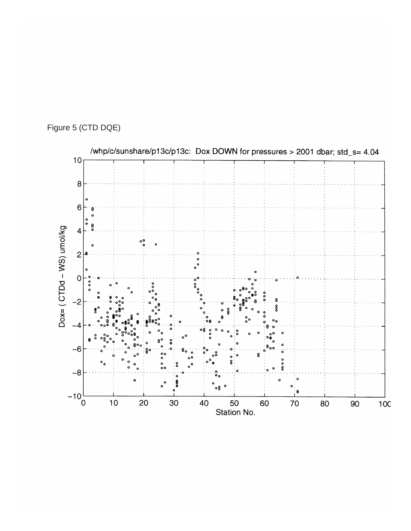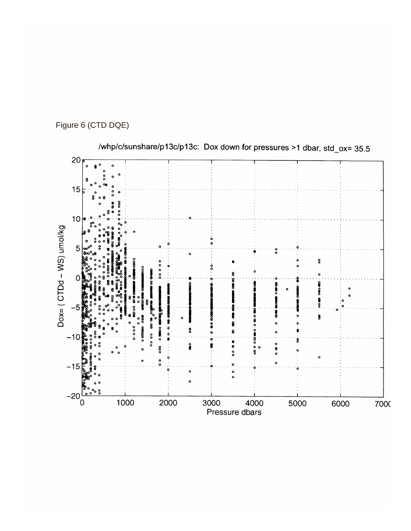



/whp/c/sunshare/p13c/p13c: Dox down for pressures >1 dbar, std\_ox= 35.5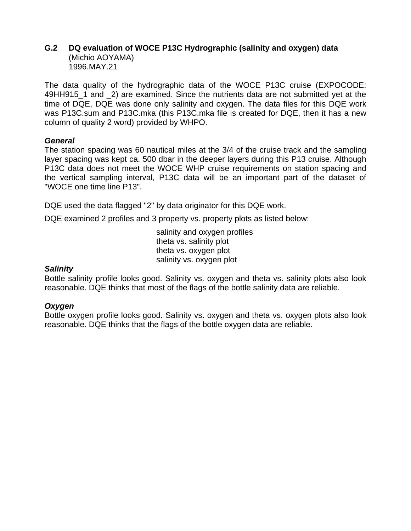#### <span id="page-22-0"></span>**G.2 DQ evaluation of WOCE P13C Hydrographic (salinity and oxygen) data** (Michio AOYAMA) 1996.MAY.21

The data quality of the hydrographic data of the WOCE P13C cruise (EXPOCODE: 49HH915\_1 and \_2) are examined. Since the nutrients data are not submitted yet at the time of DQE, DQE was done only salinity and oxygen. The data files for this DQE work was P13C.sum and P13C.mka (this P13C.mka file is created for DQE, then it has a new column of quality 2 word) provided by WHPO.

#### *General*

The station spacing was 60 nautical miles at the 3/4 of the cruise track and the sampling layer spacing was kept ca. 500 dbar in the deeper layers during this P13 cruise. Although P13C data does not meet the WOCE WHP cruise requirements on station spacing and the vertical sampling interval, P13C data will be an important part of the dataset of "WOCE one time line P13".

DQE used the data flagged "2" by data originator for this DQE work.

DQE examined 2 profiles and 3 property vs. property plots as listed below:

salinity and oxygen profiles theta vs. salinity plot theta vs. oxygen plot salinity vs. oxygen plot

#### *Salinity*

Bottle salinity profile looks good. Salinity vs. oxygen and theta vs. salinity plots also look reasonable. DQE thinks that most of the flags of the bottle salinity data are reliable.

#### *Oxygen*

Bottle oxygen profile looks good. Salinity vs. oxygen and theta vs. oxygen plots also look reasonable. DQE thinks that the flags of the bottle oxygen data are reliable.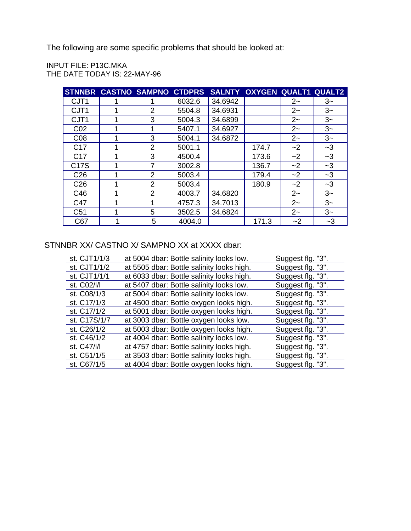The following are some specific problems that should be looked at:

INPUT FILE: P13C.MKA THE DATE TODAY IS: 22-MAY-96

|                  |   | STNNBR CASTNO SAMPNO CTDPRS |        |         | SALNTY OXYGEN QUALT1 QUALT2 |          |      |
|------------------|---|-----------------------------|--------|---------|-----------------------------|----------|------|
| CJT <sub>1</sub> |   |                             | 6032.6 | 34.6942 |                             | $2 -$    | $3-$ |
| CJT <sub>1</sub> |   | $\overline{2}$              | 5504.8 | 34.6931 |                             | $2 -$    | $3-$ |
| CJT <sub>1</sub> | 1 | 3                           | 5004.3 | 34.6899 |                             | $2 -$    | $3-$ |
| CO <sub>2</sub>  | 1 | 1                           | 5407.1 | 34.6927 |                             | $2 -$    | $3-$ |
| CO8              |   | 3                           | 5004.1 | 34.6872 |                             | $2 -$    | $3-$ |
| C <sub>17</sub>  | 1 | $\overline{2}$              | 5001.1 |         | 174.7                       | $\sim$ 2 | $-3$ |
| C <sub>17</sub>  |   | 3                           | 4500.4 |         | 173.6                       | $-2$     | $-3$ |
| C17S             | 1 | 7                           | 3002.8 |         | 136.7                       | $\sim$ 2 | $-3$ |
| C <sub>26</sub>  |   | $\overline{2}$              | 5003.4 |         | 179.4                       | $-2$     | $-3$ |
| C <sub>26</sub>  | 1 | $\overline{2}$              | 5003.4 |         | 180.9                       | $-2$     | $-3$ |
| C46              | 1 | $\overline{2}$              | 4003.7 | 34.6820 |                             | $2 -$    | $3-$ |
| C47              | 1 | 1                           | 4757.3 | 34.7013 |                             | $2 -$    | $3-$ |
| C <sub>51</sub>  |   | 5                           | 3502.5 | 34.6824 |                             | $2 -$    | $3-$ |
| C67              |   | 5                           | 4004.0 |         | 171.3                       | ~2       | $-3$ |

### STNNBR XX/ CASTNO X/ SAMPNO XX at XXXX dbar:

| st. CJT1/1/3 | at 5004 dbar: Bottle salinity looks low.  | Suggest flg. "3". |
|--------------|-------------------------------------------|-------------------|
| st. CJT1/1/2 | at 5505 dbar: Bottle salinity looks high. | Suggest flg. "3". |
| st. CJT1/1/1 | at 6033 dbar: Bottle salinity looks high. | Suggest flg. "3". |
| st. C02/l/l  | at 5407 dbar: Bottle salinity looks low.  | Suggest flg. "3". |
| st. C08/1/3  | at 5004 dbar: Bottle salinity looks low.  | Suggest flg. "3". |
| st. C17/1/3  | at 4500 dbar: Bottle oxygen looks high.   | Suggest flg. "3". |
| st. C17/1/2  | at 5001 dbar: Bottle oxygen looks high.   | Suggest flg. "3". |
| st. C17S/1/7 | at 3003 dbar: Bottle oxygen looks low.    | Suggest flg. "3". |
| st. C26/1/2  | at 5003 dbar: Bottle oxygen looks high.   | Suggest flg. "3". |
| st. C46/1/2  | at 4004 dbar: Bottle salinity looks low.  | Suggest flg. "3". |
| st. C47/l/l  | at 4757 dbar: Bottle salinity looks high. | Suggest flg. "3". |
| st. C51/1/5  | at 3503 dbar: Bottle salinity looks high. | Suggest flg. "3". |
| st. C67/1/5  | at 4004 dbar: Bottle oxygen looks high.   | Suggest flg. "3". |
|              |                                           |                   |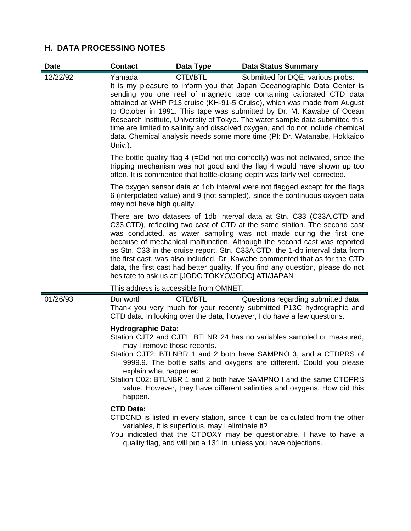### **H. DATA PROCESSING NOTES**

| <b>Date</b> | <b>Contact</b>                                                                                                   | Data Type                                          | <b>Data Status Summary</b>                                                                                                                                                                                                                                                                                                                                                                                                                                                                                                                                                                     |
|-------------|------------------------------------------------------------------------------------------------------------------|----------------------------------------------------|------------------------------------------------------------------------------------------------------------------------------------------------------------------------------------------------------------------------------------------------------------------------------------------------------------------------------------------------------------------------------------------------------------------------------------------------------------------------------------------------------------------------------------------------------------------------------------------------|
| 12/22/92    | Yamada<br>Univ.).                                                                                                | CTD/BTL                                            | Submitted for DQE; various probs:<br>It is my pleasure to inform you that Japan Oceanographic Data Center is<br>sending you one reel of magnetic tape containing calibrated CTD data<br>obtained at WHP P13 cruise (KH-91-5 Cruise), which was made from August<br>to October in 1991. This tape was submitted by Dr. M. Kawabe of Ocean<br>Research Institute, University of Tokyo. The water sample data submitted this<br>time are limited to salinity and dissolved oxygen, and do not include chemical<br>data. Chemical analysis needs some more time (PI: Dr. Watanabe, Hokkaido        |
|             |                                                                                                                  |                                                    | The bottle quality flag 4 (=Did not trip correctly) was not activated, since the<br>tripping mechanism was not good and the flag 4 would have shown up too<br>often. It is commented that bottle-closing depth was fairly well corrected.                                                                                                                                                                                                                                                                                                                                                      |
|             | may not have high quality.                                                                                       |                                                    | The oxygen sensor data at 1db interval were not flagged except for the flags<br>6 (interpolated value) and 9 (not sampled), since the continuous oxygen data                                                                                                                                                                                                                                                                                                                                                                                                                                   |
|             |                                                                                                                  | hesitate to ask us at: [JODC.TOKYO/JODC] ATI/JAPAN | There are two datasets of 1db interval data at Stn. C33 (C33A.CTD and<br>C33.CTD), reflecting two cast of CTD at the same station. The second cast<br>was conducted, as water sampling was not made during the first one<br>because of mechanical malfunction. Although the second cast was reported<br>as Stn. C33 in the cruise report, Stn. C33A.CTD, the 1-db interval data from<br>the first cast, was also included. Dr. Kawabe commented that as for the CTD<br>data, the first cast had better quality. If you find any question, please do not                                        |
|             |                                                                                                                  | This address is accessible from OMNET.             |                                                                                                                                                                                                                                                                                                                                                                                                                                                                                                                                                                                                |
| 01/26/93    | Dunworth                                                                                                         | CTD/BTL                                            | Questions regarding submitted data:<br>Thank you very much for your recently submitted P13C hydrographic and<br>CTD data. In looking over the data, however, I do have a few questions.                                                                                                                                                                                                                                                                                                                                                                                                        |
|             | <b>Hydrographic Data:</b><br>may I remove those records.<br>explain what happened<br>happen.<br><b>CTD Data:</b> | variables, it is superflous, may I eliminate it?   | Station CJT2 and CJT1: BTLNR 24 has no variables sampled or measured,<br>Station CJT2: BTLNBR 1 and 2 both have SAMPNO 3, and a CTDPRS of<br>9999.9. The bottle salts and oxygens are different. Could you please<br>Station C02: BTLNBR 1 and 2 both have SAMPNO I and the same CTDPRS<br>value. However, they have different salinities and oxygens. How did this<br>CTDCND is listed in every station, since it can be calculated from the other<br>You indicated that the CTDOXY may be questionable. I have to have a<br>quality flag, and will put a 131 in, unless you have objections. |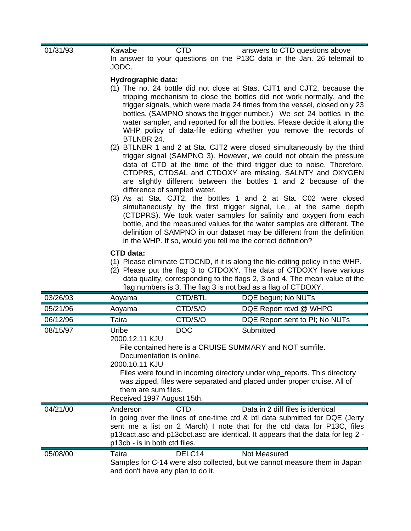| 01/31/93 | Kawabe<br>JODC.                                                                                                                                                                                                                                                                                                                                                          | <b>CTD</b>                                  | answers to CTD questions above<br>In answer to your questions on the P13C data in the Jan. 26 telemail to                                                                                                                                                                                                                                                                                                                                                  |
|----------|--------------------------------------------------------------------------------------------------------------------------------------------------------------------------------------------------------------------------------------------------------------------------------------------------------------------------------------------------------------------------|---------------------------------------------|------------------------------------------------------------------------------------------------------------------------------------------------------------------------------------------------------------------------------------------------------------------------------------------------------------------------------------------------------------------------------------------------------------------------------------------------------------|
|          | Hydrographic data:<br>BTLNBR 24.                                                                                                                                                                                                                                                                                                                                         |                                             | (1) The no. 24 bottle did not close at Stas. CJT1 and CJT2, because the<br>tripping mechanism to close the bottles did not work normally, and the<br>trigger signals, which were made 24 times from the vessel, closed only 23<br>bottles. (SAMPNO shows the trigger number.) We set 24 bottles in the<br>water sampler, and reported for all the bottles. Please decide it along the<br>WHP policy of data-file editing whether you remove the records of |
|          |                                                                                                                                                                                                                                                                                                                                                                          | difference of sampled water.                | (2) BTLNBR 1 and 2 at Sta. CJT2 were closed simultaneously by the third<br>trigger signal (SAMPNO 3). However, we could not obtain the pressure<br>data of CTD at the time of the third trigger due to noise. Therefore,<br>CTDPRS, CTDSAL and CTDOXY are missing. SALNTY and OXYGEN<br>are slightly different between the bottles 1 and 2 because of the                                                                                                  |
|          |                                                                                                                                                                                                                                                                                                                                                                          |                                             | (3) As at Sta. CJT2, the bottles 1 and 2 at Sta. C02 were closed<br>simultaneously by the first trigger signal, i.e., at the same depth<br>(CTDPRS). We took water samples for salinity and oxygen from each<br>bottle, and the measured values for the water samples are different. The<br>definition of SAMPNO in our dataset may be different from the definition<br>in the WHP. If so, would you tell me the correct definition?                       |
|          | CTD data:                                                                                                                                                                                                                                                                                                                                                                |                                             | (1) Please eliminate CTDCND, if it is along the file-editing policy in the WHP.<br>(2) Please put the flag 3 to CTDOXY. The data of CTDOXY have various<br>data quality, corresponding to the flags 2, 3 and 4. The mean value of the<br>flag numbers is 3. The flag 3 is not bad as a flag of CTDOXY.                                                                                                                                                     |
| 03/26/93 | Aoyama                                                                                                                                                                                                                                                                                                                                                                   | CTD/BTL                                     | DQE begun; No NUTs                                                                                                                                                                                                                                                                                                                                                                                                                                         |
| 05/21/96 | Aoyama                                                                                                                                                                                                                                                                                                                                                                   | CTD/S/O                                     | DQE Report rcvd @ WHPO                                                                                                                                                                                                                                                                                                                                                                                                                                     |
| 06/12/96 | Taira                                                                                                                                                                                                                                                                                                                                                                    | CTD/S/O                                     | DQE Report sent to PI; No NUTs                                                                                                                                                                                                                                                                                                                                                                                                                             |
| 08/15/97 | Submitted<br>Uribe<br><b>DOC</b><br>2000.12.11 KJU<br>File contained here is a CRUISE SUMMARY and NOT sumfile.<br>Documentation is online.<br>2000.10.11 KJU<br>Files were found in incoming directory under whp_reports. This directory<br>was zipped, files were separated and placed under proper cruise. All of<br>them are sum files.<br>Received 1997 August 15th. |                                             |                                                                                                                                                                                                                                                                                                                                                                                                                                                            |
| 04/21/00 | Anderson<br>p13cb - is in both ctd files.                                                                                                                                                                                                                                                                                                                                | <b>CTD</b>                                  | Data in 2 diff files is identical<br>In going over the lines of one-time ctd & btl data submitted for DQE (Jerry<br>sent me a list on 2 March) I note that for the ctd data for P13C, files<br>p13 cact. asc and p13 cbct. asc are identical. It appears that the data for leg 2 -                                                                                                                                                                         |
| 05/08/00 | Taira                                                                                                                                                                                                                                                                                                                                                                    | DELC14<br>and don't have any plan to do it. | <b>Not Measured</b><br>Samples for C-14 were also collected, but we cannot measure them in Japan                                                                                                                                                                                                                                                                                                                                                           |